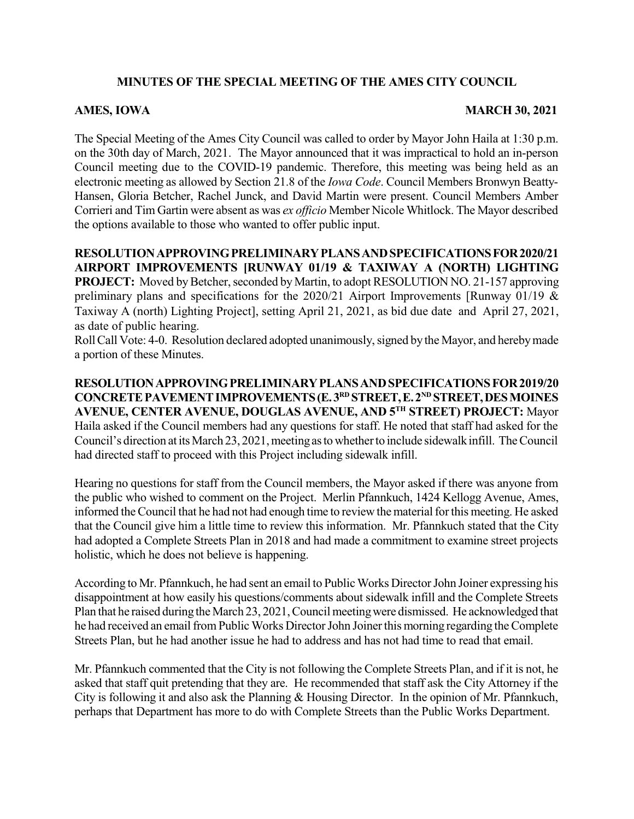# **MINUTES OF THE SPECIAL MEETING OF THE AMES CITY COUNCIL**

## **AMES, IOWA MARCH 30, 2021**

The Special Meeting of the Ames City Council was called to order by Mayor John Haila at 1:30 p.m. on the 30th day of March, 2021. The Mayor announced that it was impractical to hold an in-person Council meeting due to the COVID-19 pandemic. Therefore, this meeting was being held as an electronic meeting as allowed by Section 21.8 of the *Iowa Code*. Council Members Bronwyn Beatty-Hansen, Gloria Betcher, Rachel Junck, and David Martin were present. Council Members Amber Corrieri and Tim Gartin were absent as was *ex officio* Member Nicole Whitlock. The Mayor described the options available to those who wanted to offer public input.

**RESOLUTIONAPPROVINGPRELIMINARYPLANSANDSPECIFICATIONSFOR2020/21 AIRPORT IMPROVEMENTS [RUNWAY 01/19 & TAXIWAY A (NORTH) LIGHTING PROJECT:** Moved by Betcher, seconded by Martin, to adopt RESOLUTION NO. 21-157 approving preliminary plans and specifications for the 2020/21 Airport Improvements [Runway 01/19 & Taxiway A (north) Lighting Project], setting April 21, 2021, as bid due date and April 27, 2021, as date of public hearing.

Roll Call Vote: 4-0. Resolution declared adopted unanimously, signed by the Mayor, and hereby made a portion of these Minutes.

**RESOLUTIONAPPROVINGPRELIMINARYPLANSANDSPECIFICATIONSFOR2019/20 CONCRETEPAVEMENTIMPROVEMENTS(E.3 RD STREET,E.2 ND STREET,DESMOINES AVENUE, CENTER AVENUE, DOUGLAS AVENUE, AND 5 TH STREET) PROJECT:** Mayor Haila asked if the Council members had any questions for staff. He noted that staff had asked for the Council's direction at its March 23, 2021, meeting as to whether to include sidewalk infill. The Council had directed staff to proceed with this Project including sidewalk infill.

Hearing no questions for staff from the Council members, the Mayor asked if there was anyone from the public who wished to comment on the Project. Merlin Pfannkuch, 1424 Kellogg Avenue, Ames, informed the Council that he had not had enough time to review the material for this meeting. He asked that the Council give him a little time to review this information. Mr. Pfannkuch stated that the City had adopted a Complete Streets Plan in 2018 and had made a commitment to examine street projects holistic, which he does not believe is happening.

According to Mr. Pfannkuch, he had sent an email to Public Works Director John Joiner expressing his disappointment at how easily his questions/comments about sidewalk infill and the Complete Streets Plan that he raised during the March 23, 2021, Council meeting were dismissed. He acknowledged that he had received an email from Public Works Director John Joiner this morning regarding the Complete Streets Plan, but he had another issue he had to address and has not had time to read that email.

Mr. Pfannkuch commented that the City is not following the Complete Streets Plan, and if it is not, he asked that staff quit pretending that they are. He recommended that staff ask the City Attorney if the City is following it and also ask the Planning & Housing Director. In the opinion of Mr. Pfannkuch, perhaps that Department has more to do with Complete Streets than the Public Works Department.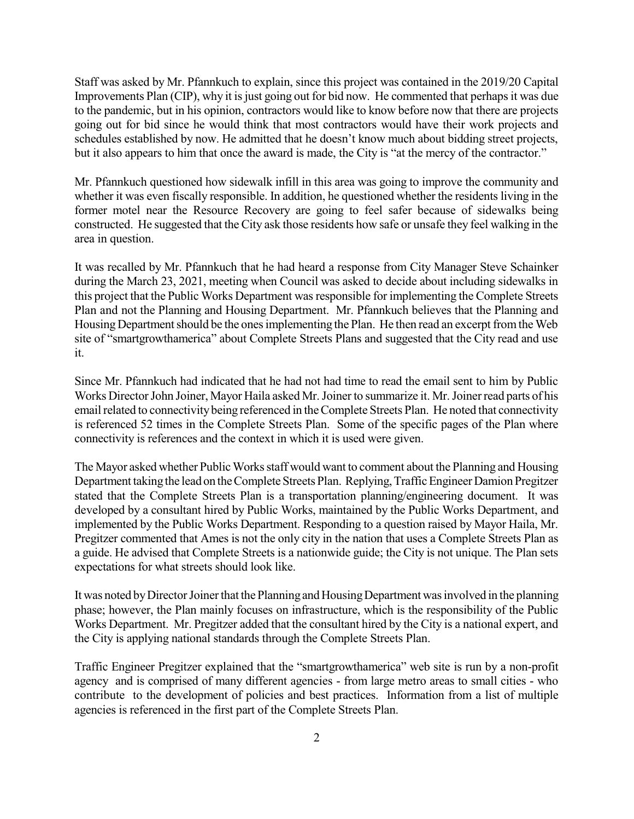Staff was asked by Mr. Pfannkuch to explain, since this project was contained in the 2019/20 Capital Improvements Plan (CIP), why it is just going out for bid now. He commented that perhaps it was due to the pandemic, but in his opinion, contractors would like to know before now that there are projects going out for bid since he would think that most contractors would have their work projects and schedules established by now. He admitted that he doesn't know much about bidding street projects, but it also appears to him that once the award is made, the City is "at the mercy of the contractor."

Mr. Pfannkuch questioned how sidewalk infill in this area was going to improve the community and whether it was even fiscally responsible. In addition, he questioned whether the residents living in the former motel near the Resource Recovery are going to feel safer because of sidewalks being constructed. He suggested that the City ask those residents how safe or unsafe they feel walking in the area in question.

It was recalled by Mr. Pfannkuch that he had heard a response from City Manager Steve Schainker during the March 23, 2021, meeting when Council was asked to decide about including sidewalks in this project that the Public Works Department was responsible for implementing the Complete Streets Plan and not the Planning and Housing Department. Mr. Pfannkuch believes that the Planning and Housing Department should be the ones implementing the Plan. He then read an excerpt from the Web site of "smartgrowthamerica" about Complete Streets Plans and suggested that the City read and use it.

Since Mr. Pfannkuch had indicated that he had not had time to read the email sent to him by Public Works Director John Joiner, Mayor Haila asked Mr. Joiner to summarize it. Mr. Joiner read parts of his email related to connectivity being referenced in the Complete Streets Plan. He noted that connectivity is referenced 52 times in the Complete Streets Plan. Some of the specific pages of the Plan where connectivity is references and the context in which it is used were given.

The Mayor asked whether Public Works staff would want to comment about the Planning and Housing Department taking the lead on the Complete Streets Plan. Replying, Traffic Engineer Damion Pregitzer stated that the Complete Streets Plan is a transportation planning/engineering document. It was developed by a consultant hired by Public Works, maintained by the Public Works Department, and implemented by the Public Works Department. Responding to a question raised by Mayor Haila, Mr. Pregitzer commented that Ames is not the only city in the nation that uses a Complete Streets Plan as a guide. He advised that Complete Streets is a nationwide guide; the City is not unique. The Plan sets expectations for what streets should look like.

It was noted by Director Joiner that the Planning and Housing Department was involved in the planning phase; however, the Plan mainly focuses on infrastructure, which is the responsibility of the Public Works Department. Mr. Pregitzer added that the consultant hired by the City is a national expert, and the City is applying national standards through the Complete Streets Plan.

Traffic Engineer Pregitzer explained that the "smartgrowthamerica" web site is run by a non-profit agency and is comprised of many different agencies - from large metro areas to small cities - who contribute to the development of policies and best practices. Information from a list of multiple agencies is referenced in the first part of the Complete Streets Plan.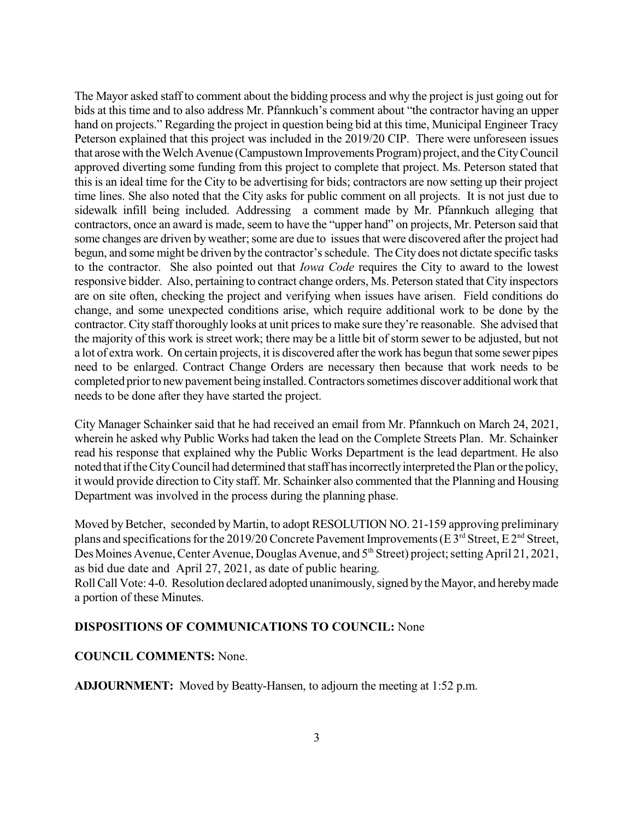The Mayor asked staff to comment about the bidding process and why the project is just going out for bids at this time and to also address Mr. Pfannkuch's comment about "the contractor having an upper hand on projects." Regarding the project in question being bid at this time, Municipal Engineer Tracy Peterson explained that this project was included in the 2019/20 CIP. There were unforeseen issues that arose with the Welch Avenue (Campustown Improvements Program) project, and the City Council approved diverting some funding from this project to complete that project. Ms. Peterson stated that this is an ideal time for the City to be advertising for bids; contractors are now setting up their project time lines. She also noted that the City asks for public comment on all projects. It is not just due to sidewalk infill being included. Addressing a comment made by Mr. Pfannkuch alleging that contractors, once an award is made, seem to have the "upper hand" on projects, Mr. Peterson said that some changes are driven by weather; some are due to issues that were discovered after the project had begun, and some might be driven by the contractor'sschedule. TheCity does not dictate specific tasks to the contractor. She also pointed out that *Iowa Code* requires the City to award to the lowest responsive bidder. Also, pertaining to contract change orders, Ms. Peterson stated that City inspectors are on site often, checking the project and verifying when issues have arisen. Field conditions do change, and some unexpected conditions arise, which require additional work to be done by the contractor. City staff thoroughly looks at unit pricesto make sure they're reasonable. She advised that the majority of this work is street work; there may be a little bit of storm sewer to be adjusted, but not a lot of extra work. On certain projects, it is discovered after the work has begun that some sewer pipes need to be enlarged. Contract Change Orders are necessary then because that work needs to be completed prior to new pavement being installed. Contractors sometimes discover additional work that needs to be done after they have started the project.

City Manager Schainker said that he had received an email from Mr. Pfannkuch on March 24, 2021, wherein he asked why Public Works had taken the lead on the Complete Streets Plan. Mr. Schainker read his response that explained why the Public Works Department is the lead department. He also noted that if the City Council had determined that staff has incorrectly interpreted the Plan or the policy, it would provide direction to City staff. Mr. Schainker also commented that the Planning and Housing Department was involved in the process during the planning phase.

Moved by Betcher, seconded by Martin, to adopt RESOLUTION NO. 21-159 approving preliminary plans and specifications for the 2019/20 Concrete Pavement Improvements (E 3<sup>rd</sup> Street, E 2<sup>nd</sup> Street, Des Moines Avenue, Center Avenue, Douglas Avenue, and 5<sup>th</sup> Street) project; setting April 21, 2021, as bid due date and April 27, 2021, as date of public hearing.

Roll Call Vote: 4-0. Resolution declared adopted unanimously, signed by the Mayor, and hereby made a portion of these Minutes.

## **DISPOSITIONS OF COMMUNICATIONS TO COUNCIL:** None

### **COUNCIL COMMENTS:** None.

**ADJOURNMENT:** Moved by Beatty-Hansen, to adjourn the meeting at 1:52 p.m.